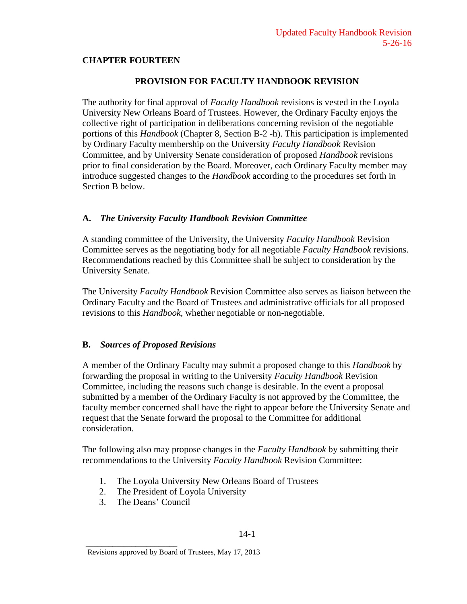## **CHAPTER FOURTEEN**

## **PROVISION FOR FACULTY HANDBOOK REVISION**

The authority for final approval of *Faculty Handbook* revisions is vested in the Loyola University New Orleans Board of Trustees. However, the Ordinary Faculty enjoys the collective right of participation in deliberations concerning revision of the negotiable portions of this *Handbook* (Chapter 8, Section B-2 -h). This participation is implemented by Ordinary Faculty membership on the University *Faculty Handbook* Revision Committee, and by University Senate consideration of proposed *Handbook* revisions prior to final consideration by the Board. Moreover, each Ordinary Faculty member may introduce suggested changes to the *Handbook* according to the procedures set forth in Section B below.

### **A.** *The University Faculty Handbook Revision Committee*

A standing committee of the University, the University *Faculty Handbook* Revision Committee serves as the negotiating body for all negotiable *Faculty Handbook* revisions. Recommendations reached by this Committee shall be subject to consideration by the University Senate.

The University *Faculty Handbook* Revision Committee also serves as liaison between the Ordinary Faculty and the Board of Trustees and administrative officials for all proposed revisions to this *Handbook*, whether negotiable or non-negotiable.

### **B.** *Sources of Proposed Revisions*

A member of the Ordinary Faculty may submit a proposed change to this *Handbook* by forwarding the proposal in writing to the University *Faculty Handbook* Revision Committee, including the reasons such change is desirable. In the event a proposal submitted by a member of the Ordinary Faculty is not approved by the Committee, the faculty member concerned shall have the right to appear before the University Senate and request that the Senate forward the proposal to the Committee for additional consideration.

The following also may propose changes in the *Faculty Handbook* by submitting their recommendations to the University *Faculty Handbook* Revision Committee:

- 1. The Loyola University New Orleans Board of Trustees
- 2. The President of Loyola University
- 3. The Deans' Council

\_\_\_\_\_\_\_\_\_\_\_\_\_\_\_\_\_\_\_\_\_\_\_\_

Revisions approved by Board of Trustees, May 17, 2013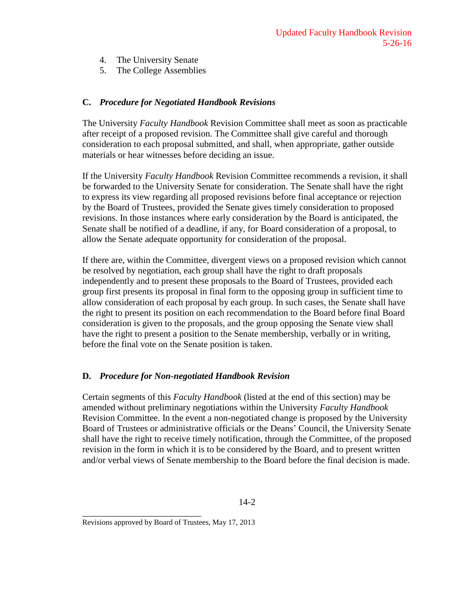- 4. The University Senate
- 5. The College Assemblies

# **C.** *Procedure for Negotiated Handbook Revisions*

The University *Faculty Handbook* Revision Committee shall meet as soon as practicable after receipt of a proposed revision. The Committee shall give careful and thorough consideration to each proposal submitted, and shall, when appropriate, gather outside materials or hear witnesses before deciding an issue.

If the University *Faculty Handbook* Revision Committee recommends a revision, it shall be forwarded to the University Senate for consideration. The Senate shall have the right to express its view regarding all proposed revisions before final acceptance or rejection by the Board of Trustees, provided the Senate gives timely consideration to proposed revisions. In those instances where early consideration by the Board is anticipated, the Senate shall be notified of a deadline, if any, for Board consideration of a proposal, to allow the Senate adequate opportunity for consideration of the proposal.

If there are, within the Committee, divergent views on a proposed revision which cannot be resolved by negotiation, each group shall have the right to draft proposals independently and to present these proposals to the Board of Trustees, provided each group first presents its proposal in final form to the opposing group in sufficient time to allow consideration of each proposal by each group. In such cases, the Senate shall have the right to present its position on each recommendation to the Board before final Board consideration is given to the proposals, and the group opposing the Senate view shall have the right to present a position to the Senate membership, verbally or in writing, before the final vote on the Senate position is taken.

# **D.** *Procedure for Non-negotiated Handbook Revision*

Certain segments of this *Faculty Handbook* (listed at the end of this section) may be amended without preliminary negotiations within the University *Faculty Handbook* Revision Committee. In the event a non-negotiated change is proposed by the University Board of Trustees or administrative officials or the Deans' Council, the University Senate shall have the right to receive timely notification, through the Committee, of the proposed revision in the form in which it is to be considered by the Board, and to present written and/or verbal views of Senate membership to the Board before the final decision is made.

\_\_\_\_\_\_\_\_\_\_\_\_\_\_\_\_\_\_\_\_\_\_\_\_\_\_

Revisions approved by Board of Trustees, May 17, 2013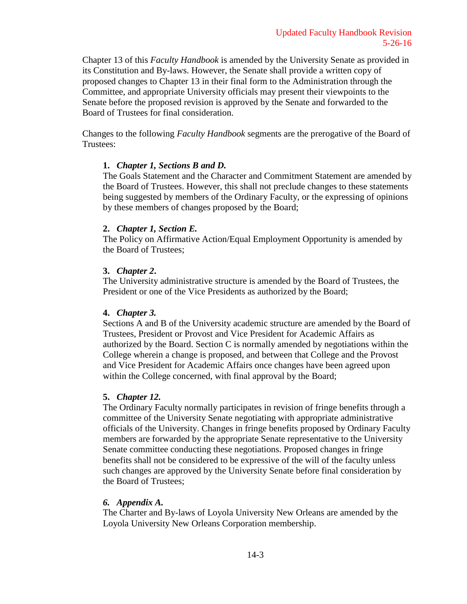Chapter 13 of this *Faculty Handbook* is amended by the University Senate as provided in its Constitution and By-laws. However, the Senate shall provide a written copy of proposed changes to Chapter 13 in their final form to the Administration through the Committee, and appropriate University officials may present their viewpoints to the Senate before the proposed revision is approved by the Senate and forwarded to the Board of Trustees for final consideration.

Changes to the following *Faculty Handbook* segments are the prerogative of the Board of Trustees:

## **1.** *Chapter 1, Sections B and D.*

The Goals Statement and the Character and Commitment Statement are amended by the Board of Trustees. However, this shall not preclude changes to these statements being suggested by members of the Ordinary Faculty, or the expressing of opinions by these members of changes proposed by the Board;

## **2.** *Chapter 1, Section E.*

The Policy on Affirmative Action/Equal Employment Opportunity is amended by the Board of Trustees;

# **3.** *Chapter 2***.**

The University administrative structure is amended by the Board of Trustees, the President or one of the Vice Presidents as authorized by the Board;

### **4.** *Chapter 3.*

Sections A and B of the University academic structure are amended by the Board of Trustees, President or Provost and Vice President for Academic Affairs as authorized by the Board. Section C is normally amended by negotiations within the College wherein a change is proposed, and between that College and the Provost and Vice President for Academic Affairs once changes have been agreed upon within the College concerned, with final approval by the Board;

# **5.** *Chapter 12.*

The Ordinary Faculty normally participates in revision of fringe benefits through a committee of the University Senate negotiating with appropriate administrative officials of the University. Changes in fringe benefits proposed by Ordinary Faculty members are forwarded by the appropriate Senate representative to the University Senate committee conducting these negotiations. Proposed changes in fringe benefits shall not be considered to be expressive of the will of the faculty unless such changes are approved by the University Senate before final consideration by the Board of Trustees;

### *6. Appendix A.*

The Charter and By-laws of Loyola University New Orleans are amended by the Loyola University New Orleans Corporation membership.